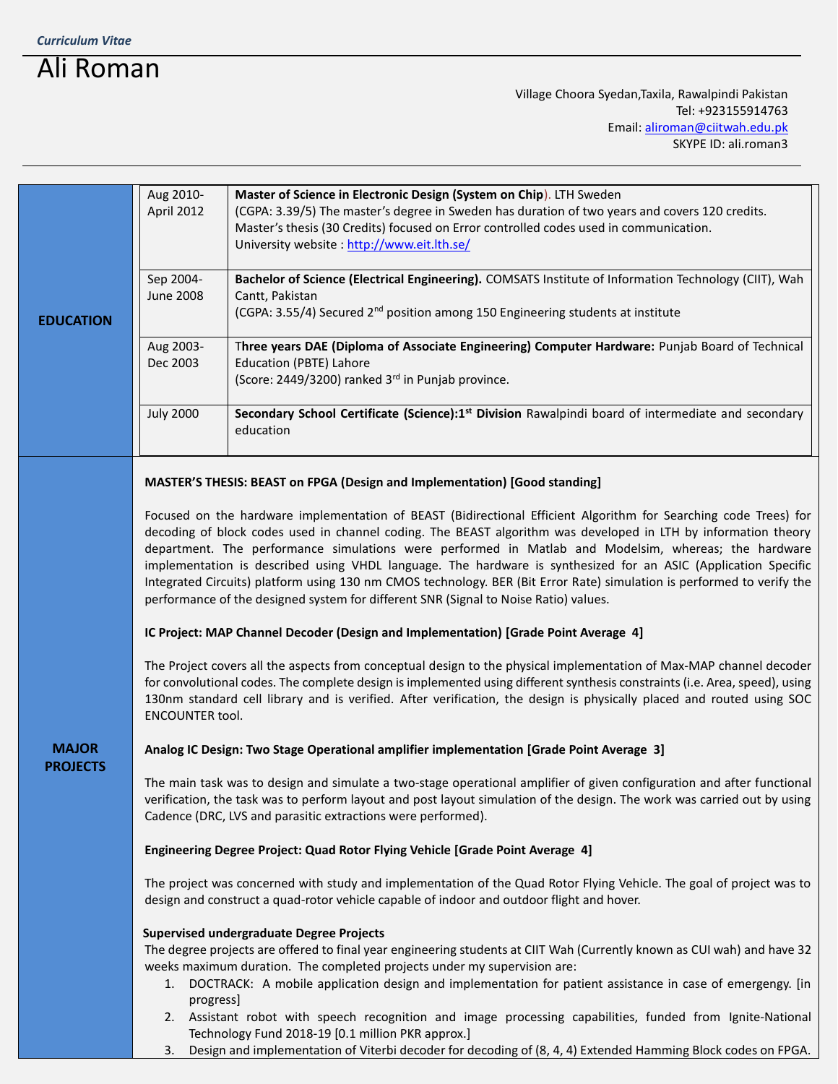## Ali Roman

Village Choora Syedan,Taxila, Rawalpindi Pakistan Tel: +923155914763 Email[: aliroman@ciitwah.edu.pk](mailto:aliroman@ciitwah.edu.pk) SKYPE ID: ali.roman3

| <b>EDUCATION</b>                | Aug 2010-<br>April 2012                                                                                                                                                                                                                                                                                            | Master of Science in Electronic Design (System on Chip). LTH Sweden<br>(CGPA: 3.39/5) The master's degree in Sweden has duration of two years and covers 120 credits. |  |
|---------------------------------|--------------------------------------------------------------------------------------------------------------------------------------------------------------------------------------------------------------------------------------------------------------------------------------------------------------------|-----------------------------------------------------------------------------------------------------------------------------------------------------------------------|--|
|                                 | Master's thesis (30 Credits) focused on Error controlled codes used in communication.                                                                                                                                                                                                                              |                                                                                                                                                                       |  |
|                                 |                                                                                                                                                                                                                                                                                                                    | University website: http://www.eit.lth.se/                                                                                                                            |  |
|                                 | Sep 2004-                                                                                                                                                                                                                                                                                                          | Bachelor of Science (Electrical Engineering). COMSATS Institute of Information Technology (CIIT), Wah                                                                 |  |
|                                 | <b>June 2008</b>                                                                                                                                                                                                                                                                                                   | Cantt, Pakistan<br>(CGPA: 3.55/4) Secured 2 <sup>nd</sup> position among 150 Engineering students at institute                                                        |  |
|                                 |                                                                                                                                                                                                                                                                                                                    |                                                                                                                                                                       |  |
|                                 | Aug 2003-<br>Dec 2003                                                                                                                                                                                                                                                                                              | Three years DAE (Diploma of Associate Engineering) Computer Hardware: Punjab Board of Technical<br>Education (PBTE) Lahore                                            |  |
|                                 |                                                                                                                                                                                                                                                                                                                    | (Score: 2449/3200) ranked 3 <sup>rd</sup> in Punjab province.                                                                                                         |  |
|                                 | <b>July 2000</b>                                                                                                                                                                                                                                                                                                   | Secondary School Certificate (Science):1 <sup>st</sup> Division Rawalpindi board of intermediate and secondary                                                        |  |
|                                 |                                                                                                                                                                                                                                                                                                                    | education                                                                                                                                                             |  |
| <b>MAJOR</b><br><b>PROJECTS</b> | MASTER'S THESIS: BEAST on FPGA (Design and Implementation) [Good standing]                                                                                                                                                                                                                                         |                                                                                                                                                                       |  |
|                                 | Focused on the hardware implementation of BEAST (Bidirectional Efficient Algorithm for Searching code Trees) for                                                                                                                                                                                                   |                                                                                                                                                                       |  |
|                                 | decoding of block codes used in channel coding. The BEAST algorithm was developed in LTH by information theory                                                                                                                                                                                                     |                                                                                                                                                                       |  |
|                                 | department. The performance simulations were performed in Matlab and Modelsim, whereas; the hardware<br>implementation is described using VHDL language. The hardware is synthesized for an ASIC (Application Specific                                                                                             |                                                                                                                                                                       |  |
|                                 | Integrated Circuits) platform using 130 nm CMOS technology. BER (Bit Error Rate) simulation is performed to verify the<br>performance of the designed system for different SNR (Signal to Noise Ratio) values.                                                                                                     |                                                                                                                                                                       |  |
|                                 | IC Project: MAP Channel Decoder (Design and Implementation) [Grade Point Average 4]                                                                                                                                                                                                                                |                                                                                                                                                                       |  |
|                                 | The Project covers all the aspects from conceptual design to the physical implementation of Max-MAP channel decoder                                                                                                                                                                                                |                                                                                                                                                                       |  |
|                                 | for convolutional codes. The complete design is implemented using different synthesis constraints (i.e. Area, speed), using<br>130nm standard cell library and is verified. After verification, the design is physically placed and routed using SOC<br><b>ENCOUNTER tool.</b>                                     |                                                                                                                                                                       |  |
|                                 | Analog IC Design: Two Stage Operational amplifier implementation [Grade Point Average 3]                                                                                                                                                                                                                           |                                                                                                                                                                       |  |
|                                 | The main task was to design and simulate a two-stage operational amplifier of given configuration and after functional<br>verification, the task was to perform layout and post layout simulation of the design. The work was carried out by using<br>Cadence (DRC, LVS and parasitic extractions were performed). |                                                                                                                                                                       |  |
|                                 | Engineering Degree Project: Quad Rotor Flying Vehicle [Grade Point Average 4]                                                                                                                                                                                                                                      |                                                                                                                                                                       |  |
|                                 | The project was concerned with study and implementation of the Quad Rotor Flying Vehicle. The goal of project was to<br>design and construct a quad-rotor vehicle capable of indoor and outdoor flight and hover.                                                                                                  |                                                                                                                                                                       |  |
|                                 | <b>Supervised undergraduate Degree Projects</b>                                                                                                                                                                                                                                                                    |                                                                                                                                                                       |  |
|                                 | The degree projects are offered to final year engineering students at CIIT Wah (Currently known as CUI wah) and have 32<br>weeks maximum duration. The completed projects under my supervision are:                                                                                                                |                                                                                                                                                                       |  |
|                                 | 1. DOCTRACK: A mobile application design and implementation for patient assistance in case of emergengy. [in<br>progress]                                                                                                                                                                                          |                                                                                                                                                                       |  |
|                                 |                                                                                                                                                                                                                                                                                                                    | 2. Assistant robot with speech recognition and image processing capabilities, funded from Ignite-National<br>Technology Fund 2018-19 [0.1 million PKR approx.]        |  |

3. Design and implementation of Viterbi decoder for decoding of (8, 4, 4) Extended Hamming Block codes on FPGA.